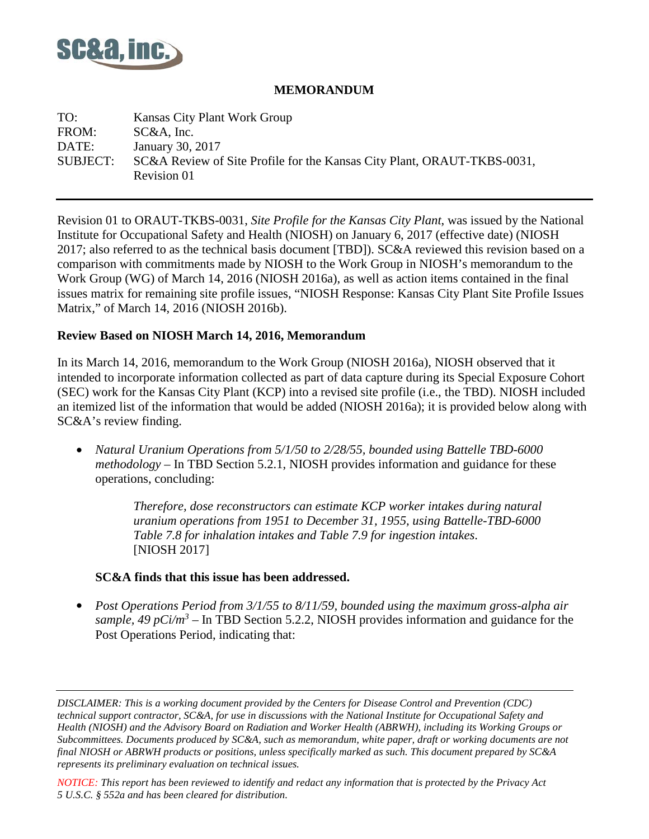

#### **MEMORANDUM**

TO: Kansas City Plant Work Group FROM: SC&A, Inc. DATE: January 30, 2017 SUBJECT: SC&A Review of Site Profile for the Kansas City Plant, ORAUT-TKBS-0031, Revision 01

Revision 01 to ORAUT-TKBS-0031, *Site Profile for the Kansas City Plant*, was issued by the National Institute for Occupational Safety and Health (NIOSH) on January 6, 2017 (effective date) (NIOSH 2017; also referred to as the technical basis document [TBD]). SC&A reviewed this revision based on a comparison with commitments made by NIOSH to the Work Group in NIOSH's memorandum to the Work Group (WG) of March 14, 2016 (NIOSH 2016a), as well as action items contained in the final issues matrix for remaining site profile issues, "NIOSH Response: Kansas City Plant Site Profile Issues Matrix," of March 14, 2016 (NIOSH 2016b).

#### **Review Based on NIOSH March 14, 2016, Memorandum**

In its March 14, 2016, memorandum to the Work Group (NIOSH 2016a), NIOSH observed that it intended to incorporate information collected as part of data capture during its Special Exposure Cohort (SEC) work for the Kansas City Plant (KCP) into a revised site profile (i.e., the TBD). NIOSH included an itemized list of the information that would be added (NIOSH 2016a); it is provided below along with SC&A's review finding.

• *Natural Uranium Operations from 5/1/50 to 2/28/55, bounded using Battelle TBD-6000 methodology* – In TBD Section 5.2.1, NIOSH provides information and guidance for these operations, concluding:

> *Therefore, dose reconstructors can estimate KCP worker intakes during natural uranium operations from 1951 to December 31, 1955, using Battelle-TBD-6000 Table 7.8 for inhalation intakes and Table 7.9 for ingestion intakes*. [NIOSH 2017]

#### **SC&A finds that this issue has been addressed.**

• *Post Operations Period from 3/1/55 to 8/11/59, bounded using the maximum gross-alpha air sample, 49 pCi/m<sup>3</sup>* – In TBD Section 5.2.2, NIOSH provides information and guidance for the Post Operations Period, indicating that:

*NOTICE: This report has been reviewed to identify and redact any information that is protected by the Privacy Act 5 U.S.C. § 552a and has been cleared for distribution.*

*DISCLAIMER: This is a working document provided by the Centers for Disease Control and Prevention (CDC) technical support contractor, SC&A, for use in discussions with the National Institute for Occupational Safety and Health (NIOSH) and the Advisory Board on Radiation and Worker Health (ABRWH), including its Working Groups or Subcommittees. Documents produced by SC&A, such as memorandum, white paper, draft or working documents are not final NIOSH or ABRWH products or positions, unless specifically marked as such. This document prepared by SC&A represents its preliminary evaluation on technical issues.*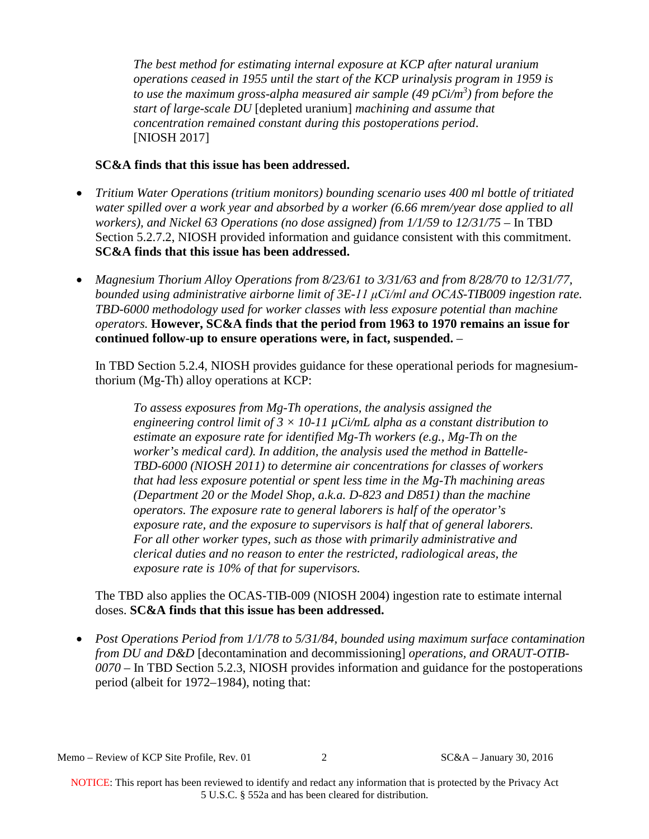*The best method for estimating internal exposure at KCP after natural uranium operations ceased in 1955 until the start of the KCP urinalysis program in 1959 is to use the maximum gross-alpha measured air sample (49 pCi/m3 ) from before the start of large-scale DU* [depleted uranium] *machining and assume that concentration remained constant during this postoperations period*. [NIOSH 2017]

## **SC&A finds that this issue has been addressed.**

- *Tritium Water Operations (tritium monitors) bounding scenario uses 400 ml bottle of tritiated water spilled over a work year and absorbed by a worker (6.66 mrem/year dose applied to all workers), and Nickel 63 Operations (no dose assigned) from 1/1/59 to 12/31/75* – In TBD Section 5.2.7.2, NIOSH provided information and guidance consistent with this commitment. **SC&A finds that this issue has been addressed.**
- *Magnesium Thorium Alloy Operations from 8/23/61 to 3/31/63 and from 8/28/70 to 12/31/77, bounded using administrative airborne limit of 3E-11 μCi/ml and OCAS-TIB009 ingestion rate. TBD-6000 methodology used for worker classes with less exposure potential than machine operators.* **However, SC&A finds that the period from 1963 to 1970 remains an issue for continued follow-up to ensure operations were, in fact, suspended.** –

In TBD Section 5.2.4, NIOSH provides guidance for these operational periods for magnesiumthorium (Mg-Th) alloy operations at KCP:

*To assess exposures from Mg-Th operations, the analysis assigned the engineering control limit of 3*  $\times$  *10-11*  $\mu$ *Ci/mL alpha as a constant distribution to estimate an exposure rate for identified Mg-Th workers (e.g., Mg-Th on the worker's medical card). In addition, the analysis used the method in Battelle-TBD-6000 (NIOSH 2011) to determine air concentrations for classes of workers that had less exposure potential or spent less time in the Mg-Th machining areas (Department 20 or the Model Shop, a.k.a. D-823 and D851) than the machine operators. The exposure rate to general laborers is half of the operator's exposure rate, and the exposure to supervisors is half that of general laborers. For all other worker types, such as those with primarily administrative and clerical duties and no reason to enter the restricted, radiological areas, the exposure rate is 10% of that for supervisors.* 

The TBD also applies the OCAS-TIB-009 (NIOSH 2004) ingestion rate to estimate internal doses. **SC&A finds that this issue has been addressed.** 

• *Post Operations Period from 1/1/78 to 5/31/84, bounded using maximum surface contamination from DU and D&D* [decontamination and decommissioning] *operations, and ORAUT-OTIB-0070* – In TBD Section 5.2.3, NIOSH provides information and guidance for the postoperations period (albeit for 1972–1984), noting that: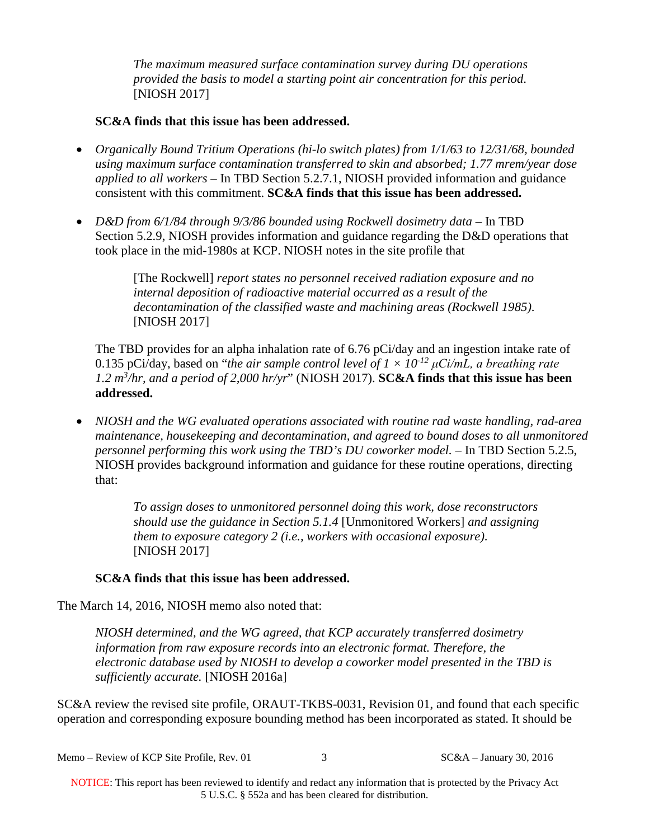*The maximum measured surface contamination survey during DU operations provided the basis to model a starting point air concentration for this period*. [NIOSH 2017]

### **SC&A finds that this issue has been addressed.**

- *Organically Bound Tritium Operations (hi-lo switch plates) from 1/1/63 to 12/31/68, bounded using maximum surface contamination transferred to skin and absorbed; 1.77 mrem/year dose applied to all workers* – In TBD Section 5.2.7.1, NIOSH provided information and guidance consistent with this commitment. **SC&A finds that this issue has been addressed.**
- *D&D from 6/1/84 through 9/3/86 bounded using Rockwell dosimetry data* In TBD Section 5.2.9, NIOSH provides information and guidance regarding the D&D operations that took place in the mid-1980s at KCP. NIOSH notes in the site profile that

[The Rockwell] *report states no personnel received radiation exposure and no internal deposition of radioactive material occurred as a result of the decontamination of the classified waste and machining areas (Rockwell 1985)*. [NIOSH 2017]

The TBD provides for an alpha inhalation rate of 6.76 pCi/day and an ingestion intake rate of 0.135 pCi/day, based on "*the air sample control level of*  $1 \times 10^{-12} \mu$ *Ci/mL, a breathing rate 1.2 m3 /hr, and a period of 2,000 hr/yr*" (NIOSH 2017). **SC&A finds that this issue has been addressed.**

• *NIOSH and the WG evaluated operations associated with routine rad waste handling, rad-area maintenance, housekeeping and decontamination, and agreed to bound doses to all unmonitored personnel performing this work using the TBD's DU coworker model.* – In TBD Section 5.2.5, NIOSH provides background information and guidance for these routine operations, directing that:

> *To assign doses to unmonitored personnel doing this work, dose reconstructors should use the guidance in Section 5.1.4* [Unmonitored Workers] *and assigning them to exposure category 2 (i.e., workers with occasional exposure)*. [NIOSH 2017]

# **SC&A finds that this issue has been addressed.**

The March 14, 2016, NIOSH memo also noted that:

*NIOSH determined, and the WG agreed, that KCP accurately transferred dosimetry information from raw exposure records into an electronic format. Therefore, the electronic database used by NIOSH to develop a coworker model presented in the TBD is sufficiently accurate.* [NIOSH 2016a]

SC&A review the revised site profile, ORAUT-TKBS-0031, Revision 01, and found that each specific operation and corresponding exposure bounding method has been incorporated as stated. It should be

| Memo – Review of KCP Site Profile, Rev. 01 | $SC&A$ – January 30, 2016 |
|--------------------------------------------|---------------------------|
|--------------------------------------------|---------------------------|

NOTICE: This report has been reviewed to identify and redact any information that is protected by the Privacy Act 5 U.S.C. § 552a and has been cleared for distribution.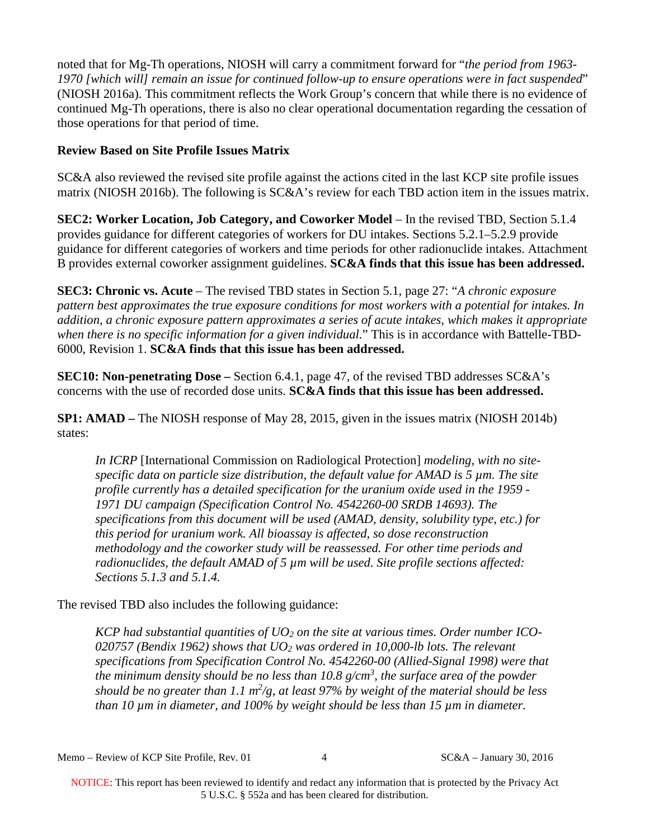noted that for Mg-Th operations, NIOSH will carry a commitment forward for "*the period from 1963- 1970 [which will] remain an issue for continued follow-up to ensure operations were in fact suspended*" (NIOSH 2016a). This commitment reflects the Work Group's concern that while there is no evidence of continued Mg-Th operations, there is also no clear operational documentation regarding the cessation of those operations for that period of time.

## **Review Based on Site Profile Issues Matrix**

SC&A also reviewed the revised site profile against the actions cited in the last KCP site profile issues matrix (NIOSH 2016b). The following is SC&A's review for each TBD action item in the issues matrix.

**SEC2: Worker Location, Job Category, and Coworker Model** – In the revised TBD, Section 5.1.4 provides guidance for different categories of workers for DU intakes. Sections 5.2.1–5.2.9 provide guidance for different categories of workers and time periods for other radionuclide intakes. Attachment B provides external coworker assignment guidelines. **SC&A finds that this issue has been addressed.**

**SEC3: Chronic vs. Acute** – The revised TBD states in Section 5.1, page 27: "*A chronic exposure pattern best approximates the true exposure conditions for most workers with a potential for intakes. In addition, a chronic exposure pattern approximates a series of acute intakes, which makes it appropriate when there is no specific information for a given individual.*" This is in accordance with Battelle-TBD-6000, Revision 1. **SC&A finds that this issue has been addressed.**

**SEC10: Non-penetrating Dose –** Section 6.4.1, page 47, of the revised TBD addresses SC&A's concerns with the use of recorded dose units. **SC&A finds that this issue has been addressed.**

**SP1: AMAD –** The NIOSH response of May 28, 2015, given in the issues matrix (NIOSH 2014b) states:

*In ICRP* [International Commission on Radiological Protection] *modeling, with no sitespecific data on particle size distribution, the default value for AMAD is 5 µm. The site profile currently has a detailed specification for the uranium oxide used in the 1959 - 1971 DU campaign (Specification Control No. 4542260-00 SRDB 14693). The specifications from this document will be used (AMAD, density, solubility type, etc.) for this period for uranium work. All bioassay is affected, so dose reconstruction methodology and the coworker study will be reassessed. For other time periods and radionuclides, the default AMAD of 5 µm will be used. Site profile sections affected: Sections 5.1.3 and 5.1.4.* 

The revised TBD also includes the following guidance:

*KCP had substantial quantities of UO2 on the site at various times. Order number ICO-020757 (Bendix 1962) shows that UO2 was ordered in 10,000-lb lots. The relevant specifications from Specification Control No. 4542260-00 (Allied-Signal 1998) were that the minimum density should be no less than 10.8 g/cm3 , the surface area of the powder should be no greater than 1.1 m2 /g, at least 97% by weight of the material should be less than 10 µm in diameter, and 100% by weight should be less than 15 µm in diameter.*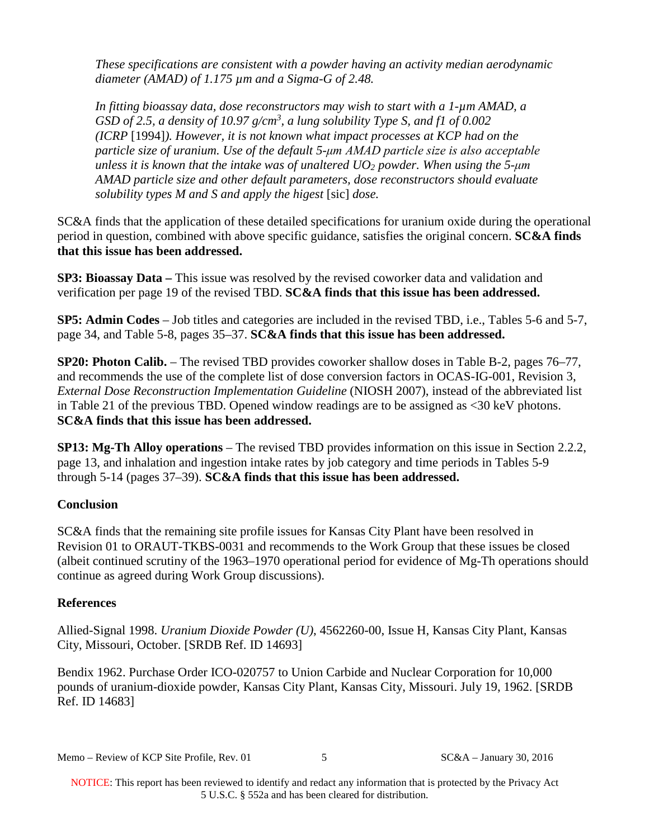*These specifications are consistent with a powder having an activity median aerodynamic diameter (AMAD) of 1.175 µm and a Sigma-G of 2.48.* 

*In fitting bioassay data, dose reconstructors may wish to start with a 1-µm AMAD, a GSD of 2.5, a density of 10.97 g/cm3 , a lung solubility Type S, and f1 of 0.002 (ICRP* [1994]*). However, it is not known what impact processes at KCP had on the particle size of uranium. Use of the default 5-μm AMAD particle size is also acceptable unless it is known that the intake was of unaltered UO2 powder. When using the 5-μm AMAD particle size and other default parameters, dose reconstructors should evaluate solubility types M and S and apply the higest* [sic] *dose.* 

SC&A finds that the application of these detailed specifications for uranium oxide during the operational period in question, combined with above specific guidance, satisfies the original concern. **SC&A finds that this issue has been addressed.**

**SP3: Bioassay Data –** This issue was resolved by the revised coworker data and validation and verification per page 19 of the revised TBD. **SC&A finds that this issue has been addressed.**

**SP5: Admin Codes** – Job titles and categories are included in the revised TBD, i.e., Tables 5-6 and 5-7, page 34, and Table 5-8, pages 35–37. **SC&A finds that this issue has been addressed.**

**SP20: Photon Calib.** – The revised TBD provides coworker shallow doses in Table B-2, pages 76–77, and recommends the use of the complete list of dose conversion factors in OCAS-IG-001, Revision 3, *External Dose Reconstruction Implementation Guideline* (NIOSH 2007), instead of the abbreviated list in Table 21 of the previous TBD. Opened window readings are to be assigned as <30 keV photons. **SC&A finds that this issue has been addressed.**

**SP13: Mg-Th Alloy operations** – The revised TBD provides information on this issue in Section 2.2.2, page 13, and inhalation and ingestion intake rates by job category and time periods in Tables 5-9 through 5-14 (pages 37–39). **SC&A finds that this issue has been addressed.**

# **Conclusion**

SC&A finds that the remaining site profile issues for Kansas City Plant have been resolved in Revision 01 to ORAUT-TKBS-0031 and recommends to the Work Group that these issues be closed (albeit continued scrutiny of the 1963–1970 operational period for evidence of Mg-Th operations should continue as agreed during Work Group discussions).

### **References**

Allied-Signal 1998. *Uranium Dioxide Powder (U)*, 4562260-00, Issue H, Kansas City Plant, Kansas City, Missouri, October. [SRDB Ref. ID 14693]

Bendix 1962. Purchase Order ICO-020757 to Union Carbide and Nuclear Corporation for 10,000 pounds of uranium-dioxide powder, Kansas City Plant, Kansas City, Missouri. July 19, 1962. [SRDB Ref. ID 14683]